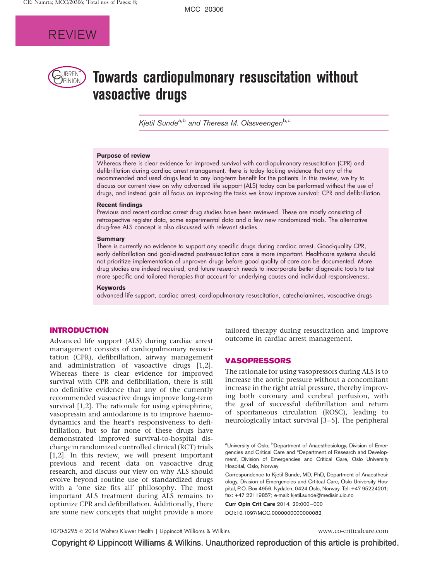

# $P$ RRENT $\bigcirc$  Towards cardiopulmonary resuscitation without vasoactive drugs

Kjetil Sunde<sup>a,b</sup> and Theresa M. Olasveengen<sup>b,c</sup>

### Purpose of review

Whereas there is clear evidence for improved survival with cardiopulmonary resuscitation (CPR) and defibrillation during cardiac arrest management, there is today lacking evidence that any of the recommended and used drugs lead to any long-term benefit for the patients. In this review, we try to discuss our current view on why advanced life support (ALS) today can be performed without the use of drugs, and instead gain all focus on improving the tasks we know improve survival: CPR and defibrillation.

#### Recent findings

Previous and recent cardiac arrest drug studies have been reviewed. These are mostly consisting of retrospective register data, some experimental data and a few new randomized trials. The alternative drug-free ALS concept is also discussed with relevant studies.

#### **Summary**

There is currently no evidence to support any specific drugs during cardiac arrest. Good-quality CPR, early defibrillation and goal-directed postresuscitation care is more important. Healthcare systems should not prioritize implementation of unproven drugs before good quality of care can be documented. More drug studies are indeed required, and future research needs to incorporate better diagnostic tools to test more specific and tailored therapies that account for underlying causes and individual responsiveness.

#### **Keywords**

advanced life support, cardiac arrest, cardiopulmonary resuscitation, catecholamines, vasoactive drugs

## INTRODUCTION

Advanced life support (ALS) during cardiac arrest management consists of cardiopulmonary resuscitation (CPR), defibrillation, airway management and administration of vasoactive drugs [\[1,2\].](#page-5-0) Whereas there is clear evidence for improved survival with CPR and defibrillation, there is still no definitive evidence that any of the currently recommended vasoactive drugs improve long-term survival [\[1,2\].](#page-5-0) The rationale for using epinephrine, vasopressin and amiodarone is to improve haemodynamics and the heart's responsiveness to defibrillation, but so far none of these drugs have demonstrated improved survival-to-hospital discharge in randomized controlled clinical (RCT) trials [\[1,2\].](#page-5-0) In this review, we will present important previous and recent data on vasoactive drug research, and discuss our view on why ALS should evolve beyond routine use of standardized drugs with a 'one size fits all' philosophy. The most important ALS treatment during ALS remains to optimize CPR and defibrillation. Additionally, there are some new concepts that might provide a more

tailored therapy during resuscitation and improve outcome in cardiac arrest management.

## VASOPRESSORS

The rationale for using vasopressors during ALS is to increase the aortic pressure without a concomitant increase in the right atrial pressure, thereby improving both coronary and cerebral perfusion, with the goal of successful defibrillation and return of spontaneous circulation (ROSC), leading to neurologically intact survival [\[3–5\]](#page-5-0). The peripheral

Curr Opin Crit Care 2014, 20:000–000 DOI:10.1097/MCC.0000000000000082

1070-5295 © 2014 Wolters Kluwer Health | Lippincott Williams & Wilkins www.co-criticalcare.com www.co-criticalcare.com

Copyright © Lippincott Williams & Wilkins. Unauthorized reproduction of this article is prohibited.

<sup>&</sup>lt;sup>a</sup>University of Oslo, <sup>b</sup>Department of Anaesthesiology, Division of Emergencies and Critical Care and <sup>c</sup>Department of Research and Development, Division of Emergencies and Critical Care, Oslo University Hospital, Oslo, Norway

Correspondence to Kjetil Sunde, MD, PhD, Department of Anaesthesiology, Division of Emergencies and Crtitcal Care, Oslo University Hospital, P.O. Box 4956, Nydalen, 0424 Oslo, Norway. Tel: +47 95224201; fax: +47 22119857; e-mail: [kjetil.sunde@medisin.uio.no](mailto:kjetil.sunde@medisin.uio.no)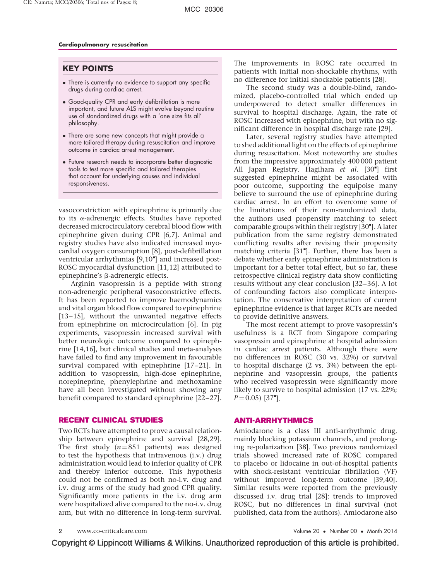## KEY POINTS

- $\bullet$  There is currently no evidence to support any specific drugs during cardiac arrest.
- Good-quality CPR and early defibrillation is more important, and future ALS might evolve beyond routine use of standardized drugs with a 'one size fits all' philosophy.
- There are some new concepts that might provide a more tailored therapy during resuscitation and improve outcome in cardiac arrest management.
- Future research needs to incorporate better diagnostic tools to test more specific and tailored therapies that account for underlying causes and individual responsiveness.

vasoconstriction with epinephrine is primarily due to its  $\alpha$ -adrenergic effects. Studies have reported decreased microcirculatory cerebral blood flow with epinephrine given during CPR [\[6,7\].](#page-5-0) Animal and registry studies have also indicated increased myocardial oxygen consumption [\[8\],](#page-5-0) post-defibrillation ventricular arrhythmias [\[9,10](#page-5-0)"[\]](#page-5-0) and increased post-ROSC myocardial dysfunction [\[11,12\]](#page-5-0) attributed to epinephrine's β-adrenergic effects.

Arginin vasopressin is a peptide with strong non-adrenergic peripheral vasoconstrictive effects. It has been reported to improve haemodynamics and vital organ blood flow compared to epinephrine [\[13–15\],](#page-5-0) without the unwanted negative effects from epinephrine on microcirculation [\[6\]](#page-5-0). In pig experiments, vasopressin increased survival with better neurologic outcome compared to epinephrine [\[14,16\]](#page-5-0), but clinical studies and meta-analyses have failed to find any improvement in favourable survival compared with epinephrine [\[17–21\]](#page-5-0). In addition to vasopressin, high-dose epinephrine, norepineprine, phenylephrine and methoxamine have all been investigated without showing any benefit compared to standard epinephrine [\[22–27\].](#page-6-0)

## RECENT CLINICAL STUDIES

Two RCTs have attempted to prove a causal relationship between epinephrine and survival [\[28,29\].](#page-6-0) The first study ( $n = 851$  patients) was designed to test the hypothesis that intravenous (i.v.) drug administration would lead to inferior quality of CPR and thereby inferior outcome. This hypothesis could not be confirmed as both no-i.v. drug and i.v. drug arms of the study had good CPR quality. Significantly more patients in the i.v. drug arm were hospitalized alive compared to the no-i.v. drug arm, but with no difference in long-term survival.

The improvements in ROSC rate occurred in patients with initial non-shockable rhythms, with no difference for initial shockable patients [\[28\].](#page-6-0)

The second study was a double-blind, randomized, placebo-controlled trial which ended up underpowered to detect smaller differences in survival to hospital discharge. Again, the rate of ROSC increased with epinephrine, but with no significant difference in hospital discharge rate [\[29\].](#page-6-0)

Later, several registry studies have attempted to shed additional light on the effects of epinephrine during resuscitation. Most noteworthy are studies from the impressive approximately 400 000 patient All Japan Registry. Hagihara et al. [\[30](#page-6-0)"[\]](#page-6-0) first suggested epinephrine might be associated with poor outcome, supporting the equipoise many believe to surround the use of epinephrine during cardiac arrest. In an effort to overcome some of the limitations of their non-randomized data, the authors used propensity matching to select comparable groups within their registry [\[30](#page-6-0)"[\].](#page-6-0) A later publication from the same registry demonstrated conflicting results after revising their propensity matching criteria [\[31](#page-6-0)"[\]](#page-6-0). Further, there has been a debate whether early epinephrine administration is important for a better total effect, but so far, these retrospective clinical registry data show conflicting results without any clear conclusion [\[32–36\].](#page-6-0) A lot of confounding factors also complicate interpretation. The conservative interpretation of current epinephrine evidence is that larger RCTs are needed to provide definitive answers.

The most recent attempt to prove vasopressin's usefulness is a RCT from Singapore comparing vasopressin and epinephrine at hospital admission in cardiac arrest patients. Although there were no differences in ROSC (30 vs. 32%) or survival to hospital discharge (2 vs. 3%) between the epinephrine and vasopressin groups, the patients who received vasopressin were significantly more likely to survive to hospital admission (17 vs. 22%;  $P = 0.05$ ) [\[37](#page-6-0)"[\]](#page-6-0).

## ANTI-ARRHYTHMICS

Amiodarone is a class III anti-arrhythmic drug, mainly blocking potassium channels, and prolonging re-polarization [\[38\]](#page-6-0). Two previous randomized trials showed increased rate of ROSC compared to placebo or lidocaine in out-of-hospital patients with shock-resistant ventricular fibrillation (VF) without improved long-term outcome [\[39,40\].](#page-6-0) Similar results were reported from the previously discussed i.v. drug trial [\[28\]:](#page-6-0) trends to improved ROSC, but no differences in final survival (not published, data from the authors). Amiodarone also

www.co-criticalcare.com

• Number 00 • Month 2014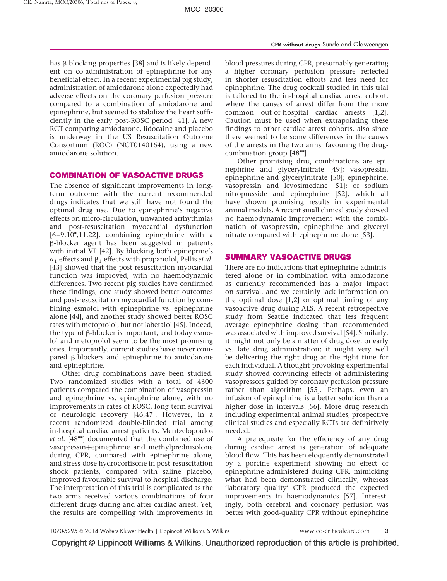has  $\beta$ -blocking properties [\[38\]](#page-6-0) and is likely dependent on co-administration of epinephrine for any beneficial effect. In a recent experimental pig study, administration of amiodarone alone expectedly had adverse effects on the coronary perfusion pressure compared to a combination of amiodarone and epinephrine, but seemed to stabilize the heart sufficiently in the early post-ROSC period [\[41\].](#page-6-0) A new RCT comparing amiodarone, lidocaine and placebo is underway in the US Resuscitation Outcome Consortium (ROC) (NCT0140164), using a new amiodarone solution.

## COMBINATION OF VASOACTIVE DRUGS

The absence of significant improvements in longterm outcome with the current recommended drugs indicates that we still have not found the optimal drug use. Due to epinephrine's negative effects on micro-circulation, unwanted arrhythmias and post-resuscitation myocardial dysfunction  $[6-9, 10$ <sup>\*</sup>[,11,22\]](#page-5-0), combining epinephrine with a b-blocker agent has been suggested in patients with initial VF [\[42\]](#page-6-0). By blocking both epineprine's  $\alpha_1$ -effects and  $\beta_1$ -effects with propanolol, Pellis *et al*. [\[43\]](#page-6-0) showed that the post-resuscitation myocardial function was improved, with no haemodynamic differences. Two recent pig studies have confirmed these findings; one study showed better outcomes and post-resuscitation myocardial function by combining esmolol with epinephrine vs. epinephrine alone [\[44\],](#page-6-0) and another study showed better ROSC rates with metoprolol, but not labetalol [\[45\]](#page-6-0). Indeed, the type of  $\beta$ -blocker is important, and today esmolol and metoprolol seem to be the most promising ones. Importantly, current studies have never compared b-blockers and epinephrine to amiodarone and epinephrine.

Other drug combinations have been studied. Two randomized studies with a total of 4300 patients compared the combination of vasopressin and epinephrine vs. epinephrine alone, with no improvements in rates of ROSC, long-term survival or neurologic recovery [\[46,47\]](#page-6-0). However, in a recent randomized double-blinded trial among in-hospital cardiac arrest patients, Mentzelopoulos et al.  $[48"']$  $[48"']$  $[48"']$  documented that the combined use of vasopressin+epinephrine and methylprednisolone during CPR, compared with epinephrine alone, and stress-dose hydrocortisone in post-resuscitation shock patients, compared with saline placebo, improved favourable survival to hospital discharge. The interpretation of this trial is complicated as the two arms received various combinations of four different drugs during and after cardiac arrest. Yet, the results are compelling with improvements in

blood pressures during CPR, presumably generating a higher coronary perfusion pressure reflected in shorter resuscitation efforts and less need for epinephrine. The drug cocktail studied in this trial is tailored to the in-hospital cardiac arrest cohort, where the causes of arrest differ from the more common out-of-hospital cardiac arrests [\[1,2\]](#page-5-0). Caution must be used when extrapolating these findings to other cardiac arrest cohorts, also since there seemed to be some differences in the causes of the arrests in the two arms, favouring the drugcombination group  $[48$ <sup> $\text{...}$ </sup>.

Other promising drug combinations are epinephrine and glycerylnitrate [\[49\]](#page-6-0); vasopressin, epinephrine and glycerylnitrate [\[50\]](#page-6-0); epinephrine, vasopressin and levosimedane [\[51\]](#page-6-0); or sodium nitroprusside and epinephrine [\[52\]](#page-6-0), which all have shown promising results in experimental animal models. A recent small clinical study showed no haemodynamic improvement with the combination of vasopressin, epinephrine and glyceryl nitrate compared with epinephrine alone [\[53\].](#page-6-0)

## SUMMARY VASOACTIVE DRUGS

There are no indications that epinephrine administered alone or in combination with amiodarone as currently recommended has a major impact on survival, and we certainly lack information on the optimal dose [\[1,2\]](#page-5-0) or optimal timing of any vasoactive drug during ALS. A recent retrospective study from Seattle indicated that less frequent average epinephrine dosing than recommended was associated with improved survival [\[54\].](#page-6-0) Similarly, it might not only be a matter of drug dose, or early vs. late drug administration; it might very well be delivering the right drug at the right time for each individual. A thought-provoking experimental study showed convincing effects of administering vasopressors guided by coronary perfusion pressure rather than algorithm [\[55\].](#page-6-0) Perhaps, even an infusion of epinephrine is a better solution than a higher dose in intervals [\[56\].](#page-6-0) More drug research including experimental animal studies, prospective clinical studies and especially RCTs are definitively needed.

A prerequisite for the efficiency of any drug during cardiac arrest is generation of adequate blood flow. This has been eloquently demonstrated by a porcine experiment showing no effect of epinephrine administered during CPR, mimicking what had been demonstrated clinically, whereas 'laboratory quality' CPR produced the expected improvements in haemodynamics [\[57\].](#page-6-0) Interestingly, both cerebral and coronary perfusion was better with good-quality CPR without epinephrine

Copyright © Lippincott Williams & Wilkins. Unauthorized reproduction of this article is prohibited.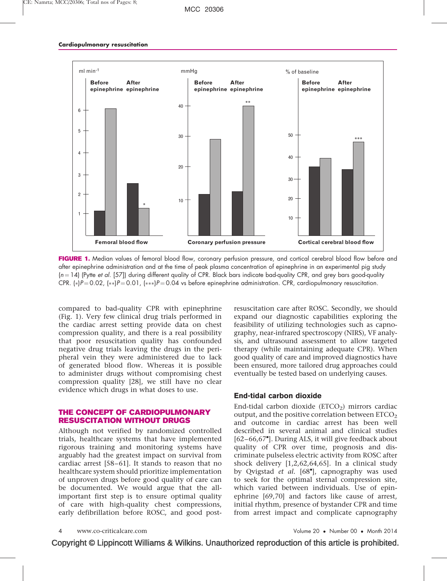

FIGURE 1. Median values of femoral blood flow, coronary perfusion pressure, and cortical cerebral blood flow before and after epinephrine administration and at the time of peak plasma concentration of epinephrine in an experimental pig study  $(n = 14)$  (Pytte et al. [57]) during different quality of CPR. Black bars indicate bad-quality CPR, and grey bars good-quality CPR.  $\kappa$ P=0.02,  $\kappa\kappa$ P=0.01,  $\kappa\kappa$ P=0.04 vs before epinephrine administration. CPR, cardiopulmonary resuscitation.

compared to bad-quality CPR with epinephrine (Fig. 1). Very few clinical drug trials performed in the cardiac arrest setting provide data on chest compression quality, and there is a real possibility that poor resuscitation quality has confounded negative drug trials leaving the drugs in the peripheral vein they were administered due to lack of generated blood flow. Whereas it is possible to administer drugs without compromising chest compression quality [\[28\],](#page-6-0) we still have no clear evidence which drugs in what doses to use.

## THE CONCEPT OF CARDIOPULMONARY RESUSCITATION WITHOUT DRUGS

Although not verified by randomized controlled trials, healthcare systems that have implemented rigorous training and monitoring systems have arguably had the greatest impact on survival from cardiac arrest [\[58–61\].](#page-6-0) It stands to reason that no healthcare system should prioritize implementation of unproven drugs before good quality of care can be documented. We would argue that the allimportant first step is to ensure optimal quality of care with high-quality chest compressions, early defibrillation before ROSC, and good postresuscitation care after ROSC. Secondly, we should expand our diagnostic capabilities exploring the feasibility of utilizing technologies such as capnography, near-infrared spectroscopy (NIRS), VF analysis, and ultrasound assessment to allow targeted therapy (while maintaining adequate CPR). When good quality of care and improved diagnostics have been ensured, more tailored drug approaches could eventually be tested based on underlying causes.

## End-tidal carbon dioxide

End-tidal carbon dioxide  $(ETCO<sub>2</sub>)$  mirrors cardiac output, and the positive correlation between  $ETCO<sub>2</sub>$ and outcome in cardiac arrest has been well described in several animal and clinical studies [62-66,67"[\].](#page-6-0) During ALS, it will give feedback about quality of CPR over time, prognosis and discriminate pulseless electric activity from ROSC after shock delivery [\[1,2,62,64,65\]](#page-5-0). In a clinical study by Qvigstad et al. [\[68](#page-7-0)"[\],](#page-7-0) capnography was used to seek for the optimal sternal compression site, which varied between individuals. Use of epinephrine [\[69,70\]](#page-7-0) and factors like cause of arrest, initial rhythm, presence of bystander CPR and time from arrest impact and complicate capnography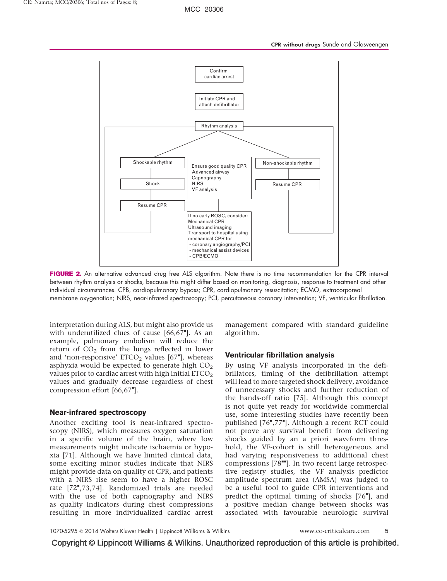

FIGURE 2. An alternative advanced drug free ALS algorithm. Note there is no time recommendation for the CPR interval between rhythm analysis or shocks, because this might differ based on monitoring, diagnosis, response to treatment and other individual circumstances. CPB, cardiopulmonary bypass; CPR, cardiopulmonary resuscitation; ECMO, extracorporeal membrane oxygenation; NIRS, near-infrared spectroscopy; PCI, percutaneous coronary intervention; VF, ventricular fibrillation.

interpretation during ALS, but might also provide us with underutilized clues of cause  $[66, 67$ <sup>-</sup>[\]](#page-6-0). As an example, pulmonary embolism will reduce the return of  $CO<sub>2</sub>$  from the lungs reflected in lower and 'non-responsive'  $ETCO<sub>2</sub>$  values  $[67<sup>*</sup>]$  $[67<sup>*</sup>]$  $[67<sup>*</sup>]$ , whereas asphyxia would be expected to generate high  $CO<sub>2</sub>$ values prior to cardiac arrest with high initial  $ETCO<sub>2</sub>$ values and gradually decrease regardless of chest compression effort [\[66,67](#page-6-0)"[\].](#page-6-0)

## Near-infrared spectroscopy

Another exciting tool is near-infrared spectroscopy (NIRS), which measures oxygen saturation in a specific volume of the brain, where low measurements might indicate ischaemia or hypoxia [\[71\].](#page-7-0) Although we have limited clinical data, some exciting minor studies indicate that NIRS might provide data on quality of CPR, and patients with a NIRS rise seem to have a higher ROSC rate [\[72](#page-7-0)"[,73,74\].](#page-7-0) Randomized trials are needed with the use of both capnography and NIRS as quality indicators during chest compressions resulting in more individualized cardiac arrest

management compared with standard guideline algorithm.

## Ventricular fibrillation analysis

By using VF analysis incorporated in the defibrillators, timing of the defibrillation attempt will lead to more targeted shock delivery, avoidance of unnecessary shocks and further reduction of the hands-off ratio [\[75\]](#page-7-0). Although this concept is not quite yet ready for worldwide commercial use, some interesting studies have recently been published [\[76](#page-7-0)"[,77](#page-7-0)"[\].](#page-7-0) Although a recent RCT could not prove any survival benefit from delivering shocks guided by an a priori waveform threshold, the VF-cohort is still heterogeneous and had varying responsiveness to additional chest compressions [\[78](#page-7-0)"[\]](#page-7-0). In two recent large retrospective registry studies, the VF analysis predictor amplitude spectrum area (AMSA) was judged to be a useful tool to guide CPR interventions and predict the optimal timing of shocks [\[76](#page-7-0)"[\],](#page-7-0) and a positive median change between shocks was associated with favourable neurologic survival

Copyright © Lippincott Williams & Wilkins. Unauthorized reproduction of this article is prohibited.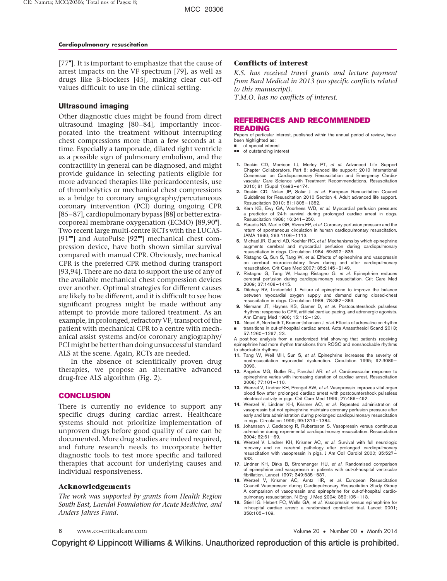<span id="page-5-0"></span>[\[77](#page-7-0)"[\]](#page-7-0). It is important to emphasize that the cause of arrest impacts on the VF spectrum [\[79\]](#page-7-0), as well as drugs like b-blockers [\[45\]](#page-6-0), making clear cut-off values difficult to use in the clinical setting.

## Ultrasound imaging

Other diagnostic clues might be found from direct ultrasound imaging [\[80–84\]](#page-7-0), importantly incorporated into the treatment without interrupting chest compressions more than a few seconds at a time. Especially a tamponade, dilated right ventricle as a possible sign of pulmonary embolism, and the contractility in general can be diagnosed, and might provide guidance in selecting patients eligible for more advanced therapies like pericardocentesis, use of thrombolytics or mechanical chest compressions as a bridge to coronary angiography/percutaneous coronary intervention (PCI) during ongoing CPR [\[85–87\],](#page-7-0) cardiopulmonary bypass [\[88\]](#page-7-0) or better extra-corporeal membrane oxygenation (ECMO) [\[89,90](#page-7-0)"[\]](#page-7-0). Two recent large multi-centre RCTs with the LUCAS- [\[91](#page-7-0) $"$ [\]](#page-7-0) and AutoPulse [\[92](#page-7-0) $"$ ] mechanical chest compression device, have both shown similar survival compared with manual CPR. Obviously, mechanical CPR is the preferred CPR method during transport [\[93,94\].](#page-7-0) There are no data to support the use of any of the available mechanical chest compression devices over another. Optimal strategies for different causes are likely to be different, and it is difficult to see how significant progress might be made without any attempt to provide more tailored treatment. As an example, in prolonged, refractory VF, transport of the patient with mechanical CPR to a centre with mechanical assist systems and/or coronary angiography/ PCImight be better than doing unsuccessful standard ALS at the scene. Again, RCTs are needed.

In the absence of scientifically proven drug therapies, we propose an alternative advanced drug-free ALS algorithm (Fig. 2).

## **CONCLUSION**

There is currently no evidence to support any specific drugs during cardiac arrest. Healthcare systems should not prioritize implementation of unproven drugs before good quality of care can be documented. More drug studies are indeed required, and future research needs to incorporate better diagnostic tools to test more specific and tailored therapies that account for underlying causes and individual responsiveness.

## Acknowledgements

The work was supported by grants from Health Region South East, Laerdal Foundation for Acute Medicine, and Anders Jahres Fund.

## Conflicts of interest

K.S. has received travel grants and lecture payment from Bard Medical in 2013 (no specific conflicts related to this manuscript).

T.M.O. has no conflicts of interest.

## REFERENCES AND RECOMMENDED READING

Papers of particular interest, published within the annual period of review, have been highlighted as:

of special interest

- $\blacksquare$  of outstanding interest
- 1. Deakin CD, Morrison LJ, Morley PT, et al. Advanced Life Support Chapter Collaborators. Part 8: advanced life support: 2010 International Consensus on Cardiopulmonary Resuscitation and Emergency Cardiovascular Care Science with Treatment Recommendations. Resuscitation 2010; 81 (Suppl 1):e93–e174.
- 2. Deakin CD, Nolan JP, Solar J, et al. European Resuscitation Council Guidelines for Resuscitation 2010 Section 4. Adult advanced life support. Resuscitation 2010; 81:1305–1352.
- 3. Kern KB, Ewy GA, Voorhees WD, et al. Myocardial perfusion pressure: a predictor of 24-h survival during prolonged cardiac arrest in dogs. Resuscitation 1988; 16:241–250.
- 4. Paradis NA, Martin GB, Rivers EP, et al. Coronary perfusion pressure and the return of spontaneous circulation in human cardiopulmonary resuscitation. JAMA 1990; 263:1106–1113.
- 5. Michael JR, Guerci AD, Koehler RC, et al. Mechanisms by which epinephrine augments cerebral and myocardial perfusion during cardiopulmonary resuscitation in dogs. Circulation 1984; 69:822–835.
- 6. Ristagno G, Sun S, Tang W, et al. Effects of epinephrine and vasopressin on cerebral microcirculatory flows during and after cardiopulmonary resuscitation. Crit Care Med 2007; 35:2145–2149.
- 7. Ristagno G, Tang W, Huang Ristagno G, et al. Epinephrine reduces cerebral perfusion during cardiopulmonary resuscitation. Crit Care Med 2009; 37:1408–1415.
- 8. Ditchey RV, Lindenfeld J. Failure of epinephrine to improve the balance between myocardial oxygen supply and demand during closed-chest resuscitation in dogs. Circulation 1988; 78:382–389.
- 9. Niemann JT, Haynes KS, Garner D, et al. Postcountershock pulseless rhythms: response to CPR, artificial cardiac pacing, and adrenergic agonists. Ann Emerg Med 1986; 15:112–120.
- 10. Neset A, Nordseth T, Kramer-Johansen J, et al. Effects of adrenaline on rhythm & transitions in out-of-hospital cardiac arrest. Acta Anaesthesiol Scand 2013; 57:1260–1267; 23.

A post-hoc analysis from a randomized trial showing that patients receiving epinephrine had more rhythm transitions from ROSC and nonshockable rhythms to shockable rhythms

- 11. Tang W, Weil MH, Sun S, et al. Epinephrine increases the severity of postresuscitation myocardial dysfunction. Circulation 1995; 92:3089– 3093.
- 12. Angelos MG, Butke RL, Panchal AR, et al. Cardiovascular response to epinephrine varies with increasing duration of cardiac arrest. Resuscitation 2008; 77:101–110.
- 13. Wenzel V, Lindner KH, Prengel AW, et al. Vasopressin improves vital organ blood flow after prolonged cardiac arrest with postcountershock pulseless electrical activity in pigs. Crit Care Med 1999; 27:486–492.
- 14. Wenzel V, Lindner KH, Krismer AC, et al. Repeated administration of vasopressin but not epinephrine maintains coronary perfusion pressure after early and late administration during prolonged cardiopulmonary resuscitation in pigs. Circulation 1999; 99:1379–1384.
- 15. Johansson J, Gedeborg R, Rubertsson S. Vasopressin versus continuous adrenaline during experimental cardiopulmonary resuscitation. Resuscitation 2004; 62:61–69.
- 16. Wenzel V, Lindner KH, Krismer AC, et al. Survival with full neurologic recovery and no cerebral pathology after prolonged cardiopulmonary resuscitation with vasopressin in pigs. J Am Coll Cardiol 2000; 35:527– 533.
- 17. Lindner KH, Dirks B, Strohmenger HU, et al. Randomised comparison of epinephrine and vasopressin in patients with out-of-hospital ventricular fibrillation. Lancet 1997; 349:535–537.
- 18. Wenzel V, Krismer AC, Arntz HR, et al. European Resuscitation Council Vasopressor during Cardiopulmonary Resuscitation Study Group A comparison of vasopressin and epinephrine for out-of-hospital cardiopulmonary resuscitation. N Engl J Med 2004; 350:105–113.
- 19. Stiell IG, Hebert PC, Wells GA, et al. Vasopressin versus epinephrine for in-hospital cardiac arrest: a randomised controlled trial. Lancet 2001; 358:105–109.

www.co-criticalcare.com

• Number 00 • Month 2014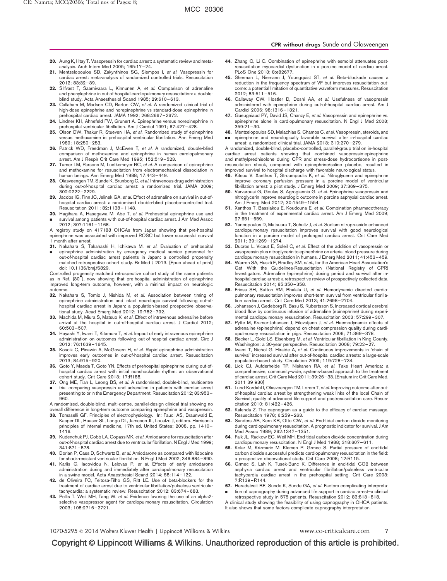- <span id="page-6-0"></span>21. Mentzelopoulos SD, Zakynthinos SG, Siempos I, et al. Vasopressin for cardiac arrest: meta-analysis of randomized controlled trials. Resuscitation 2012; 83:32–39.
- 22. Silfvast T, Saarnivaara L, Kinnunen A, et al. Comparison of adrenaline and phenylephrine in out-of-hospital cardiopulmonary resuscitation: a doubleblind study. Acta Anaesthesiol Scand 1985; 29:610–613.
- 23. Callaham M, Madsen CD, Barton CW, et al. A randomized clinical trial of high-dose epinephrine and norepinephrine vs standard-dose epinephrine in prehospital cardiac arrest. JAMA 1992; 268:2667–2672.
- 24. Lindner KH, Ahnefeld FW, Grunert A. Epinephrine versus norepinephrine in prehospital ventricular fibrillation. Am J Cardiol 1991; 67:427–428.
- 25. Olson DW, Thakur R, Stueven HA, et al. Randomized study of epinephrine versus methoxamine in prehospital ventricular fibrillation. Ann Emerg Med 1989; 18:250–253.
- 26. Patrick WD, Freedman J, McEwen T, et al. A randomized, double-blind comparison of methoxamine and epinephrine in human cardiopulmonary arrest. Am J Respir Crit Care Med 1995; 152:519–523.
- 27. Turner LM, Parsons M, Luetkemeyer RC, et al. A comparison of epinephrine and methoxamine for resuscitation from electromechanical dissociation in human beings. Ann Emerg Med 1988; 17:443–449.
- 28. Olasveengen TM, Sunde K, Brunborg C, et al. Intravenous drug administration during out-of-hospital cardiac arrest: a randomized trial. JAMA 2009; 302:2222–2229.
- 29. Jacobs IG, Finn JC, Jelinek GA, et al. Effect of adrenaline on survival in out-ofhospital cardiac arrest: a randomised double-blind placebo-controlled trial. Resuscitation 2011; 82:1138–1143.
- 30. Hagihara A, Hasegawa M, Abe T, et al. Prehospital epinephrine use and & survival among patients with out-of-hospital cardiac arrest. J Am Med Assoc 2012; 307:1161–1168.
- A registry study on 417188 OHCAs from Japan showing that pre-hospital epinephrine was associated with improved ROSC but lower successful survival 1 month after arrest.
- 31. Nakahara S, Takahashi H, Ichikawa M, et al. Evaluation of prehospital
- & epinephrine administration by emergency medical service personnel for out-of-hospital cardiac arrest patients in Japan: a controlled propensity matched retrospective cohort study. Br Med J 2013. [Epub ahead of print] doi: 10.1136/bmj.f6829.

Controlled propensity matched retrospective cohort study of the same patients as in Ref. [30& ], now showing that pre-hospital administration of epinephrine improved long-term outcome, however, with a minimal impact on neurologic outcome.

- 32. Nakahara S, Tomio J, Nishida M, et al. Association between timing of epinephrine administration and intact neurologic survival following out-ofhospital cardiac arrest in Japan: a population-based prospective observational study. Acad Emerg Med 2012; 19:782–792.
- 33. Machida M, Miura S, Matsuo K, et al. Effect of intravenous adrenaline before arrival at the hospital in out-of-hospital cardiac arrest. J Cardiol 2012; 60:503–507.
- 34. Hayashi Y, Iwami T, Kitamura T, et al. Impact of early intravenous epinephrine administration on outcomes following out-of-hospital cardiac arrest. Circ J 2012; 76:1639–1645.
- 35. Koscik C, Pinawin A, McGovern H, et al. Rapid epinephrine administration improves early outcomes in out-of-hospital cardiac arrest. Resuscitation 2013; 84:915–920.
- 36. Goto Y, Maeda T, Goto YN. Effects of prehospital epinephrine during out-ofhospital cardiac arrest with initial nonshockable rhythm: an observational cohort study. Crit Care 2013; 17:R188.
- 37. Ong ME, Tiah L, Leong BS, et al. A randomised, double-blind, multicentre
- & trial comparing vasopressin and adrenaline in patients with cardiac arrest presenting to or in the Emergency Department. Resuscitation 2012; 83:953– 960.

A randomized, double-blind, multi-centre, parallel-design clinical trial showing no overall difference in long-term outcome comparing epinephrine and vasopressin.

- 38. Tomaselli GF. Principles of electrophysiology. In: Fauci AS, Braunwald E, Kasper DL, Hauser SL, Longo DL, Jameson JL, Localzo J, editors. Harrison's principles of internal medicine, 17th ed. United States; 2008. pp. 1410– 1416.
- 39. Kudenchuk PJ, Cobb LA, Copass MK, et al. Amiodarone for resuscitation after out-of-hospital cardiac arrest due to ventricular fibrillation. N Engl J Med 1999; 341:871–878.
- 40. Dorian P, Cass D, Schwartz B, et al. Amiodarone as compared with lidocaine for shock-resistant ventricular fibrillation. N Engl J Med 2002; 346:884–890.
- 41. Karlis G, Jacovidou N, Lelovas P, et al. Effects of early amiodarone administration during and immediately after cardiopulmonary resuscitation in a swine model. Acta Anaesthesiol Scand 2014; 58:114–122.
- 42. de Oliveira FC, Feitosa-Filho GS, Ritt LE. Use of beta-blockers for the treatment of cardiac arrest due to ventricular fibrillation/pulseless ventricular tachycardia: a systematic review. Resuscitation 2012; 83:674–683.
- 43. Pellis T, Weil MH, Tang W, et al. Evidence favoring the use of an alpha2selective vasopressor agent for cardiopulmonary resuscitation. Circulation 2003; 108:2716–2721.
- 44. Zhang Q, Li C. Combination of epinephrine with esmolol attenuates postresuscitation myocardial dysfunction in a porcine model of cardiac arrest. PLoS One 2013; 8:e82677.
- 45. Sherman L, Niemann J, Youngquist ST, et al. Beta-blockade causes a reduction in the frequency spectrum of VF but improves resuscitation outcome: a potential limitation of quantitative waveform measures. Resuscitation 2012; 83:511–516.
- 46. Callaway CW, Hostler D, Doshi AA, et al. Usefulness of vasopressin administered with epinephrine during out-of-hospital cardiac arrest. Am J Cardiol 2006; 98:1316–1321.
- 47. Gueugniaud PY, David JS, Chanzy E, et al. Vasopressin and epinephrine vs. epinephrine alone in cardiopulmonary resuscitation. N Engl J Med 2008; 359:21–30.
- 48. Mentzelopoulos SD, Malachias S, Chamos C, et al. Vasopressin, steroids, and && epinephrine and neurologically favorable survival after in-hospital cardiac arrest: a randomized clinical trial. JAMA 2013; 310:270–279.

A randomized, double-blind, placebo-controlled, parallel-group trial on in-hospital cardiac arrest patients showing that combined vasopressin-epinephrine and methylprednisolone during CPR and stress-dose hydrocortisone in postresuscitation shock, compared with epinephrine/saline placebo, resulted in improved survival to hospital discharge with favorable neurological status.

- 49. Kitsou V, Xanthos T, Stroumpoulis K, et al. Nitroglycerin and epinephrine improve coronary perfusion pressure in a porcine model of ventricular fibrillation arrest: a pilot study. J Emerg Med 2009; 37:369–375.
- 50. Varvarousi G, Goulas S, Agrogiannis G, et al. Epinephrine vasopressin and nitroglycerin improve neurologic outcome in porcine asphyxial cardiac arrest. Am J Emerg Med 2012; 30:1549–1554.
- 51. Xanthos T, Bassiakou E, Koudouna E, et al. Combination pharmacotherapy in the treatment of experimental cardiac arrest. Am J Emerg Med 2009; 27:651–659.
- 52. Yannopoulos D, Matsuura T, Schultz J, et al. Sodium nitroprusside enhanced cardiopulmonary resuscitation improves survival with good neurological function in a porcine model of prolonged cardiac arrest. Crit Care Med 2011; 39:1269–1274.
- 53. Ducros L, Vicaut E, Soleil C, et al. Effect of the addition of vasopressin or vasopressin plus nitroglycerin to epinephrine on arterial blood pressure during cardiopulmonary resuscitation in humans. J Emerg Med 2011; 41:453–459.
- 54. Warren SA, Huszti E, Bradley SM, et al., for the American Heart Association's Get With the Guidelines-Resuscitation (National Registry of CPR) Investigators. Adrenaline (epinephrine) dosing period and survival after inhospital cardiac arrest: a retrospective review of prospectively collected data. Resuscitation 2014; 85:350–358.
- 55. Friess SH, Sutton RM, Bhalala U, et al. Hemodynamic directed cardiopulmonary resuscitation improves short-term survival from ventricular fibrillation cardiac arrest. Crit Care Med 2013; 41:2698–2704.
- 56. Johansson J, Gedeborg R, Basu S, Rubertsson S. Increased cortical cerebral blood flow by continuous infusion of adrenaline (epinephrine) during experimental cardiopulmonary resuscitation. Resuscitation 2003; 57:299–307.
- 57. Pytte M, Kramer-Johansen J, Eilevstjønn J, et al. Haemodynamic effects of adrenaline (epinephrine) depend on chest compression quality during cardiopulmonary resuscitation in pigs. Resuscitation 2006; 71:369–378.
- 58. Becker L, Gold LS, Eisenberg M, et al. Ventricular fibrillation in King County, Washington: a 30-year perspective. Resuscitation 2008; 79:22–27.
- 59. Iwami T, Nichol G, Hiraide A, et al. Continuous improvements in 'chain of survival' increased survival after out-of-hospital cardiac arrests: a large-scale population-based study. Circulation 2009; 119:728–734.
- 60. Lick CJ, Aufderheide TP, Niskanen RA, et al. Take Heart America: a comprehensive, community-wide, systems-based approach to the treatment of cardiac arrest. Crit Care Med 2011; 39:26–33. [Erratum in: Crit Care Med. 2011 39 930]
- 61. Lund-Kordahl I, Olasveengen TM, Lorem T, et al. Improving outcome after outof-hospital cardiac arrest by strengthening weak links of the local Chain of Survival; quality of advanced life support and postresuscitation care. Resuscitation 2010; 81:422–426.
- Kalenda Z. The capnogram as a guide to the efficacy of cardiac massage. Resuscitation 1978; 6:259–263.
- Sanders AB, Kern KB, Otto CW, et al. End-tidal carbon dioxide monitoring during cardiopulmonary resuscitation. A prognostic indicator for survival. J Am Med Assoc 1989; 262:1347–1351.
- 64. Falk JL, Rackow EC, Weil MH. End-tidal carbon dioxide concentration during cardiopulmonary resuscitation. N Engl J Med 1988; 318:607–611.
- 65. Kolar M, Krizmaric M, Klemen P, Grmec S. Partial pressure of end-tidal carbon dioxide successful predicts cardiopulmonary resuscitation in the field: a prospective observational study. Crit Care 2008; 12:R115.
- 66. Grmec S, Lah K, Tusek-Bunc K. Difference in end-tidal CO2 between asphyxia cardiac arrest and ventricular fibrillation/pulseless ventricular tachycardia cardiac arrest in the prehospital setting. Crit Care 2003; 7:R139–R144.
- 67. Heradstveit BE, Sunde K, Sunde GA, et al. Factors complicating interpreta-& tion of capnography during advanced life support in cardiac arrest–a clinical
- retrospective study in 575 patients. Resuscitation 2012; 83:813–818. A clinical study showing the feasibility of using capnography in OHCA patients. It also shows that some factors complicate capnography interpretation.

# Copyright © Lippincott Williams & Wilkins. Unauthorized reproduction of this article is prohibited.